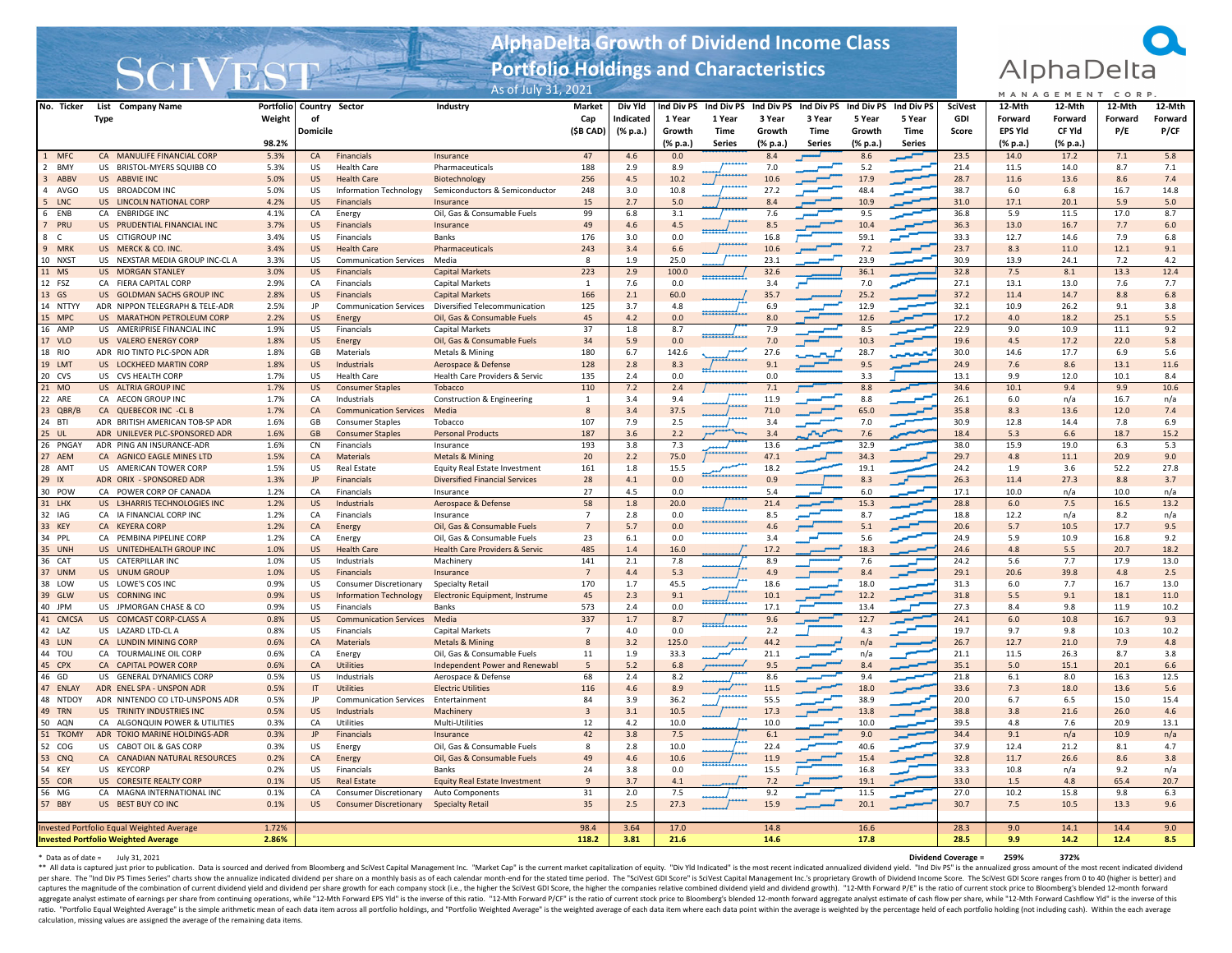## **AlphaDelta Growth of Dividend Income Class Portfolio Holdings and Characteristics**



|                              |                                                        | $\sim$ $\sim$ $\sim$ $\sim$<br><u>and Note</u><br>As of July 31, 2021 |                        |                                                     |                                           |                         |            |                |                |                           |               |                           |               | MANAGEMENT<br>CORP. |                |              |              |             |
|------------------------------|--------------------------------------------------------|-----------------------------------------------------------------------|------------------------|-----------------------------------------------------|-------------------------------------------|-------------------------|------------|----------------|----------------|---------------------------|---------------|---------------------------|---------------|---------------------|----------------|--------------|--------------|-------------|
| No. Ticker                   | List Company Name                                      | <b>Portfolio</b>                                                      |                        | Country Sector                                      | Industry                                  | <b>Market</b>           | Div Yld    | Ind Div PS     | Ind Div PS     | Ind Div PS                | Ind Div PS    | Ind Div PS                | Ind Div PS    | <b>SciVest</b>      | 12-Mth         | 12-Mth       | 12-Mth       | 12-Mth      |
|                              | Type                                                   | Weight                                                                | of                     |                                                     |                                           | Cap                     | Indicated  | 1 Year         | 1 Year         | 3 Year                    | 3 Year        | 5 Year                    | 5 Year        | GDI                 | Forward        | Forward      | Forward      | Forward     |
|                              |                                                        |                                                                       | Domicile               |                                                     |                                           | (\$B CAD)               | (% p.a.)   | Growth         | <b>Time</b>    | Growth                    | <b>Time</b>   | Growth                    | Time          | Score               | <b>EPS YId</b> | CF Yld       | P/E          | P/CF        |
|                              |                                                        | 98.2%                                                                 |                        |                                                     |                                           |                         |            | (% p.a.)       | Series         | $(% \mathbf{a})$ (% p.a.) | <b>Series</b> | $(% \mathbf{a})$ (% p.a.) | <b>Series</b> |                     | (% p.a.)       | (% p.a.)     |              |             |
| 1 MFC                        | CA MANULIFE FINANCIAL CORP                             | 5.3%                                                                  | <b>CA</b>              | Financials                                          | Insurance                                 | 47                      | 4.6        | 0.0            |                | 8.4                       |               | 8.6                       |               | 23.5                | 14.0           | 17.2         | 7.1          | 5.8         |
| <b>BMY</b><br>$\overline{2}$ | US BRISTOL-MYERS SQUIBB CO                             | 5.3%                                                                  | US                     | <b>Health Care</b>                                  | Pharmaceuticals                           | 188                     | 2.9        | 8.9            |                | 7.0                       |               | 5.2                       |               | 21.4                | 11.5           | 14.0         | 8.7          | 7.1         |
| 3 ABBV                       | US ABBVIE INC                                          | 5.0%                                                                  | <b>US</b>              | <b>Health Care</b>                                  | Biotechnology                             | 256                     | 4.5        | 10.2           |                | 10.6                      |               | 17.9                      |               | 28.7                | 11.6           | 13.6         | 8.6          | 7.4         |
| $\Delta$<br>AVGO             | US BROADCOM INC                                        | 5.0%                                                                  | US                     | Information Technology                              | Semiconductors & Semiconductor            | 248                     | 3.0        | 10.8           |                | 27.2                      |               | 48.4                      |               | 38.7                | 6.0            | 6.8          | 16.7         | 14.8        |
| $5\overline{5}$<br>LNC       | US LINCOLN NATIONAL CORP                               | 4.2%                                                                  | <b>US</b>              | Financials                                          | Insurance                                 | 15                      | 2.7        | 5.0            |                | 8.4                       |               | 10.9                      |               | 31.0                | 17.1           | 20.1         | 5.9          | 5.0         |
| 6<br>ENB                     | CA ENBRIDGE INC                                        | 4.1%                                                                  | CA                     | Energy                                              | Oil, Gas & Consumable Fuels               | 99                      | 6.8        | 3.1            |                | 7.6                       |               | 9.5                       |               | 36.8                | 5.9            | 11.5         | 17.0         | 8.7         |
| $7^{\circ}$<br>PRU           | US PRUDENTIAL FINANCIAL INC                            | 3.7%                                                                  | <b>US</b>              | Financials                                          | Insurance                                 | 49                      | 4.6        | 4.5            |                | 8.5                       |               | 10.4                      |               | 36.3                | 13.0           | 16.7         | 7.7          | 6.0         |
| 8<br>C                       | US CITIGROUP INC                                       | 3.4%<br>3.4%                                                          | US.<br><b>US</b>       | Financials                                          | Banks<br>Pharmaceuticals                  | 176<br>243              | 3.0        | 0.0            |                | 16.8<br>10.6              |               | 59.1<br>7.2               |               | 33.3<br>23.7        | 12.7<br>8.3    | 14.6<br>11.0 | 7.9<br>12.1  | 6.8<br>9.1  |
| 9 MRK<br>10 NXS1             | US MERCK & CO. INC.<br>US NEXSTAR MEDIA GROUP INC-CL A | 3.3%                                                                  | <b>US</b>              | <b>Health Care</b><br><b>Communication Services</b> | Media                                     | 8                       | 3.4<br>1.9 | 6.6<br>25.0    |                | 23.1                      |               | 23.9                      |               | 30.9                | 13.9           | 24.1         | 7.2          | 4.2         |
| 11 MS                        | US MORGAN STANLEY                                      | 3.0%                                                                  | <b>US</b>              | Financials                                          | <b>Capital Markets</b>                    | 223                     | 2.9        | 100.0          |                | 32.6                      |               | 36.1                      |               | 32.8                | 7.5            | 8.1          | 13.3         | 12.4        |
| 12 FSZ                       | CA FIERA CAPITAL CORP                                  | 2.9%                                                                  | CA                     | Financials                                          | Capital Markets                           | $\overline{1}$          | 7.6        | 0.0            |                | 3.4                       |               | 7.0                       |               | 27.1                | 13.1           | 13.0         | 7.6          | 7.7         |
| 13 GS                        | US GOLDMAN SACHS GROUP INC                             | 2.8%                                                                  | <b>US</b>              | Financials                                          | <b>Capital Markets</b>                    | 166                     | 2.1        | 60.0           |                | 35.7                      |               | 25.2                      |               | 37.2                | 11.4           | 14.7         | 8.8          | 6.8         |
| 14 NTTYY                     | ADR NIPPON TELEGRAPH & TELE-ADR                        | 2.5%                                                                  | IP                     | <b>Communication Services</b>                       | Diversified Telecommunication             | 125                     | 3.7        | 4.8            |                | 6.9                       |               | 12.9                      |               | 32.1                | 10.9           | 26.2         | 9.1          | 3.8         |
| 15 MPC                       | US MARATHON PETROLEUM CORP                             | 2.2%                                                                  | <b>US</b>              | Energy                                              | Oil, Gas & Consumable Fuels               | 45                      | 4.2        | 0.0            |                | 8.0                       |               | 12.6                      |               | 17.2                | 4.0            | 18.2         | 25.1         | 5.5         |
| 16 AMP                       | US AMERIPRISE FINANCIAL INC                            | 1.9%                                                                  | US                     | Financials                                          | Capital Markets                           | 37                      | 1.8        | 8.7            |                | 7.9                       |               | 8.5                       |               | 22.9                | 9.0            | 10.9         | 11.1         | 9.2         |
| 17 VLO                       | US VALERO ENERGY CORP                                  | 1.8%                                                                  | US                     | Energy                                              | Oil, Gas & Consumable Fuels               | 34                      | 5.9        | 0.0            |                | 7.0                       |               | 10.3                      |               | 19.6                | 4.5            | 17.2         | 22.0         | 5.8         |
| 18 RIO                       | ADR RIO TINTO PLC-SPON ADR                             | 1.8%                                                                  | GB                     | Materials                                           | Metals & Mining                           | 180                     | 6.7        | 142.6          |                | 27.6                      |               | 28.7                      | المحموس       | 30.0                | 14.6           | 17.7         | 6.9          | 5.6         |
| 19 LMT                       | US LOCKHEED MARTIN CORP                                | 1.8%                                                                  | <b>US</b>              | Industrials                                         | Aerospace & Defense                       | 128                     | 2.8        | 8.3            |                | 9.1                       |               | 9.5                       |               | 24.9                | 7.6            | 8.6          | 13.1         | 11.6        |
| 20 CVS                       | US CVS HEALTH CORP                                     | 1.7%                                                                  | US.                    | <b>Health Care</b>                                  | Health Care Providers & Servic            | 135                     | 2.4        | 0.0            |                | 0.0                       |               | 3.3                       |               | 13.1                | 9.9            | 12.0         | 10.1         | 8.4         |
| $21$ MO                      | US ALTRIA GROUP INC                                    | 1.7%                                                                  | <b>US</b>              | <b>Consumer Staples</b>                             | Tobacco                                   | 110                     | $7.2$      | 2.4            |                | 7.1                       |               | 8.8                       |               | 34.6                | 10.1           | 9.4          | 9.9          | 10.6        |
| 22 ARE                       | CA AECON GROUP INC                                     | 1.7%                                                                  | CA                     | Industrials                                         | Construction & Engineering                | 1                       | 3.4        | 9.4            |                | 11.9                      |               | 8.8                       |               | 26.1                | 6.0            | n/a          | 16.7         | n/a         |
| 23 QBR/B                     | CA QUEBECOR INC -CL B                                  | 1.7%                                                                  | CA                     | <b>Communication Services</b>                       | Media                                     | $\overline{8}$          | 3.4        | 37.5           |                | 71.0                      |               | 65.0                      |               | 35.8                | 8.3            | 13.6         | 12.0         | 7.4         |
| 24 BTI                       | ADR BRITISH AMERICAN TOB-SP ADR                        | 1.6%                                                                  | GB                     | <b>Consumer Staples</b>                             | Tobacco                                   | 107                     | 7.9        | 2.5            |                | 3.4                       |               | 7.0                       |               | 30.9                | 12.8           | 14.4         | 7.8          | 6.9         |
| 25 UL                        | ADR UNILEVER PLC-SPONSORED ADR                         | 1.6%                                                                  | GB                     | <b>Consumer Staples</b>                             | <b>Personal Products</b>                  | 187                     | 3.6        | 2.2            |                | 3.4                       |               | 7.6                       |               | 18.4                | 5.3            | 6.6          | 18.7         | 15.2        |
| 26 PNGAY                     | ADR PING AN INSURANCE-ADR                              | 1.6%                                                                  | <b>CN</b>              | Financials                                          | Insurance                                 | 193                     | 3.8        | 7.3            | سد             | 13.6                      |               | 32.9                      |               | 38.0                | 15.9           | 19.0         | 6.3          | 5.3         |
| 27 AEM                       | CA AGNICO EAGLE MINES LTD                              | 1.5%                                                                  | CA                     | Materials                                           | <b>Metals &amp; Mining</b>                | 20                      | 2.2        | 75.0           |                | 47.1                      |               | 34.3                      |               | 29.7                | 4.8            | 11.1         | 20.9         | 9.0         |
| 28 AMT                       | US AMERICAN TOWER CORP                                 | 1.5%                                                                  | <b>US</b>              | <b>Real Estate</b>                                  | Equity Real Estate Investment             | 161                     | 1.8        | 15.5           | $\overline{1}$ | 18.2                      |               | 19.1                      |               | 24.2                | 1.9            | 3.6          | 52.2         | 27.8        |
| 29 IX                        | ADR ORIX - SPONSORED ADR                               | 1.3%                                                                  | <b>JP</b>              | Financials                                          | <b>Diversified Financial Services</b>     | 28                      | 4.1        | 0.0            |                | 0.9                       |               | 8.3                       |               | 26.3                | 11.4           | 27.3         | 8.8          | 3.7         |
| 30 POW                       | CA POWER CORP OF CANADA                                | 1.2%                                                                  | CA                     | Financials                                          | Insurance                                 | 27                      | 4.5        | 0 <sub>0</sub> |                | 5.4                       |               | 6.0                       |               | 17.1                | 10.0           | n/a          | 10.0         | n/a         |
| 31 LHX                       | US L3HARRIS TECHNOLOGIES INC                           | 1.2%                                                                  | <b>US</b>              | Industrials                                         | Aerospace & Defense                       | 58                      | 1.8        | 20.0           |                | 21.4                      |               | 15.3                      |               | 28.8                | 6.0            | 7.5          | 16.5         | 13.2        |
| 32 IAG                       | CA IA FINANCIAL CORP INC                               | 1.2%                                                                  | CA                     | Financials                                          | Insurance                                 | $\overline{7}$          | 2.8        | 0.0            |                | 8.5                       |               | 8.7                       |               | 18.8                | 12.2           | n/a          | 8.2          | n/a         |
| 33 KEY                       | CA KEYERA CORP                                         | 1.2%                                                                  | CA                     | Energy                                              | Oil, Gas & Consumable Fuels               | $\overline{7}$          | 5.7        | 0.0            |                | 4.6                       |               | 5.1                       |               | 20.6                | 5.7            | 10.5         | 17.7         | 9.5         |
| 34 PPL                       | CA PEMBINA PIPELINE CORP                               | 1.2%                                                                  | CA                     | Energy                                              | Oil, Gas & Consumable Fuels               | 23                      | 6.1        | 0.0            |                | 3.4                       |               | 5.6                       |               | 24.9                | 5.9            | 10.9         | 16.8         | 9.2         |
| 35 UNH                       | US UNITEDHEALTH GROUP INC                              | 1.0%                                                                  | <b>US</b>              | <b>Health Care</b>                                  | <b>Health Care Providers &amp; Servic</b> | 485                     | 1.4        | 16.0           |                | 17.2                      |               | 18.3                      |               | 24.6                | 4.8            | 5.5          | 20.7         | 18.2        |
| 36 CAT                       | US CATERPILLAR INC                                     | 1.0%                                                                  | US                     | Industrials                                         | Machinery                                 | 141                     | 2.1        | 7.8            |                | 8.9                       |               | 7.6                       |               | 24.2                | 5.6            | 7.7          | 17.9         | 13.0        |
| 37 UNM                       | US UNUM GROUP                                          | 1.0%                                                                  | <b>US</b>              | Financials                                          | Insurance                                 | $\overline{7}$          | 4.4        | 5.3            |                | 4.9                       |               | 8.4<br>18.0               |               | 29.1                | 20.6           | 39.8         | 4.8          | 2.5         |
| 38 LOW                       | US LOWE'S COS INC<br>US CORNING INC.                   | 0.9%<br>0.9%                                                          | US                     | Consumer Discretionary                              | Specialty Retail                          | 170<br>45               | 1.7        | 45.5           |                | 18.6                      |               |                           |               | 31.3                | 6.0<br>5.5     | 7.7<br>9.1   | 16.7<br>18.1 | 13.0        |
| 39 GLW<br>40 JPM             |                                                        | 0.9%                                                                  | <b>US</b><br><b>US</b> | <b>Information Technology</b><br>Financials         | Electronic Equipment, Instrume<br>Banks   |                         | 2.3        | 9.1<br>0.0     |                | 10.1                      |               | 12.2                      |               | 31.8                | 8.4            | 9.8          | 11.9         | 11.0        |
| 41 CMCSA                     | US JPMORGAN CHASE & CO<br>US COMCAST CORP-CLASS A      | 0.8%                                                                  | <b>US</b>              |                                                     | Media                                     | 573<br>337              | 2.4<br>1.7 | 8.7            |                | 17.1<br>9.6               |               | 13.4<br>12.7              |               | 27.3<br>24.1        | 6.0            | 10.8         | 16.7         | 10.2<br>9.3 |
| 42 LAZ                       | US LAZARD LTD-CL A                                     | 0.8%                                                                  | US                     | <b>Communication Services</b><br>Financials         | Capital Markets                           | $\overline{7}$          | 4.0        | 0.0            |                | 2.2                       |               | 4.3                       |               | 19.7                | 9.7            | 9.8          | 10.3         | 10.2        |
| 43 LUN                       | CA LUNDIN MINING CORP                                  | 0.6%                                                                  | CA                     | Materials                                           | <b>Metals &amp; Mining</b>                | 8                       | 3.2        | 125.0          |                | 44.2                      |               | n/a                       |               | 26.7                | 12.7           | 21.0         | 7.9          | 4.8         |
| 44 TOU                       | CA TOURMALINE OIL CORP                                 | 0.6%                                                                  | CA                     | Energy                                              | Oil, Gas & Consumable Fuels               | 11                      | 1.9        | 33.3           |                | 21.1                      |               | n/a                       |               | 21.1                | 11.5           | 26.3         | 8.7          | 3.8         |
| 45 CPX                       | CA CAPITAL POWER CORP                                  | 0.6%                                                                  | CA                     | Utilities                                           | Independent Power and Renewabl            | 5                       | 5.2        | 6.8            |                | 9.5                       |               | 8.4                       |               | 35.1                | 5.0            | 15.1         | 20.1         | 6.6         |
| 46 GD                        | US GENERAL DYNAMICS CORF                               | 0.5%                                                                  | US                     | Industrials                                         | Aerospace & Defense                       | 68                      | 2.4        | 8.2            |                | 8.6                       |               | 9.4                       |               | 21.8                | 6.1            | 8.0          | 16.3         | 12.5        |
| 47 ENLAY                     | ADR ENEL SPA - UNSPON ADR                              | 0.5%                                                                  | IT.                    | <b>Utilities</b>                                    | <b>Electric Utilities</b>                 | 116                     | 4.6        | 8.9            |                | 11.5                      |               | 18.0                      |               | 33.6                | 7.3            | 18.0         | 13.6         | 5.6         |
| 48 NTDOY                     | ADR NINTENDO CO LTD-UNSPONS ADR                        | 0.5%                                                                  | <b>IP</b>              | <b>Communication Services</b>                       | Entertainment                             | 84                      | 3.9        | 36.2           |                | 55.5                      |               | 38.9                      |               | 20.0                | 6.7            | 6.5          | 15.0         | 15.4        |
| 49 TRN                       | US TRINITY INDUSTRIES INC                              | 0.5%                                                                  | <b>US</b>              | Industrials                                         | Machinery                                 | $\overline{\mathbf{3}}$ | 3.1        | 10.5           |                | 17.3                      |               | 13.8                      |               | 38.8                | 3.8            | 21.6         | 26.0         | 4.6         |
| 50 AQN                       | CA ALGONQUIN POWER & UTILITIES                         | 0.3%                                                                  | CA                     | Utilities                                           | Multi-Utilities                           | 12                      | 4.2        | 10.0           |                | 10.0                      |               | 10.0                      |               | 39.5                | 4.8            | 7.6          | 20.9         | 13.1        |
| 51 TKOM                      | ADR TOKIO MARINE HOLDINGS-ADR                          | 0.3%                                                                  | <b>JP</b>              | Financials                                          | Insurance                                 | 42                      | 3.8        | 7.5            |                | 6.1                       |               | 9.0                       |               | 34.4                | 9.1            | n/a          | 10.9         | n/a         |
| 52 COG                       | US CABOT OIL & GAS CORP                                | 0.3%                                                                  | US                     | Energy                                              | Oil, Gas & Consumable Fuels               | -8                      | 2.8        | 10.0           |                | 22.4                      |               | 40.6                      |               | 37.9                | 12.4           | 21.2         | 8.1          | 4.7         |
| 53 CNQ                       | CA CANADIAN NATURAL RESOURCES                          | 0.2%                                                                  | CA                     | Energy                                              | Oil, Gas & Consumable Fuels               | 49                      | 4.6        | 10.6           |                | 11.9                      |               | 15.4                      |               | 32.8                | 11.7           | 26.6         | 8.6          | 3.8         |
| 54 KEY                       | US KEYCORP                                             | 0.2%                                                                  | <b>US</b>              | Financials                                          | Banks                                     | 24                      | 3.8        | 0.0            |                | 15.5                      |               | 16.8                      |               | 33.3                | 10.8           | n/a          | 9.2          | n/a         |
| 55 COR                       | US CORESITE REALTY CORE                                | 0.1%                                                                  | <b>US</b>              | <b>Real Estate</b>                                  | <b>Equity Real Estate Investment</b>      | $\overline{9}$          | 3.7        | 4.1            |                | 7.2                       |               | 19.1                      |               | 33.0                | 1.5            | 4.8          | 65.4         | 20.7        |
| 56 MG                        | MAGNA INTERNATIONAL INC<br>CA                          | 0.1%                                                                  | CA                     | Consumer Discretionary                              | Auto Components                           | 31                      | 2.0        | 7.5            |                | 9.2                       |               | 11.5                      |               | 27.0                | 10.2           | 15.8         | 9.8          | 6.3         |
| 57 BBY                       | US BEST BUY CO INC                                     | 0.1%                                                                  | US                     | <b>Consumer Discretionary</b>                       | <b>Specialty Retail</b>                   | 35                      | 2.5        | 27.3           |                | 15.9                      |               | 20.1                      |               | 30.7                | 7.5            | 10.5         | 13.3         | 9.6         |
|                              |                                                        |                                                                       |                        |                                                     |                                           |                         |            |                |                |                           |               |                           |               |                     |                |              |              |             |
|                              | <b>Invested Portfolio Equal Weighted Average</b>       | 1.72%                                                                 |                        |                                                     |                                           | 98.4                    | 3.64       | 17.0           |                | 14.8                      |               | 16.6                      |               | 28.3                | 9.0            | 14.1         | 14.4         | 9.0         |
|                              | <b>Invested Portfolio Weighted Average</b>             | 2.86%                                                                 |                        |                                                     |                                           | 118.2                   | 3.81       | 21.6           |                | 14.6                      |               | 17.8                      |               | 28.5                | 9.9            | 14.2         | 12.4         | 8.5         |

## \* Data as of date = July 31, 2021

SCIVEST

 Data as of date <sup>=</sup> July 31, <sup>2021</sup> **Dividend Coverage <sup>=</sup> 259% 372%** \*\* All data is captured just prior to publication. Data is sourced and derived from Bloomberg and SciVest Capital Management Inc. "Market Cap" is the current market capitalization of equity. "Div Yld Indicated" is the most recent indicated annualized dividend yield. "Ind Div PS" is the annualized gross amount of the most recent indicated dividend per share. The "Ind Div PS Times Series" charts show the annualize indicated dividend per share on a monthly basis as of each calendar month-end for the stated time period. The "SciVest GDI Score" is SciVest Capital Manage captures the magnitude of the combination of current dividend yield and dividend per share growth for each company stock (i.e., the higher the SciVest GDI Score, the higher the companies relative combined dividend yield an aggregate analyst estimate of earnings per share from continuing operations, while "12-Mth Forward EPS YId" is the inverse of this ratio. "12-Mth Forward PCF" is the iratio of current stock price to Bloomberg's blended 12ratio. "Portfolio Equal Weighted Average" is the simple arithmetic mean of each data item across all portfolio holdings, and "Portfolio Weighted Average" is the weighted average of each data item where each data item where calculation, missing values are assigned the average of the remaining data items.